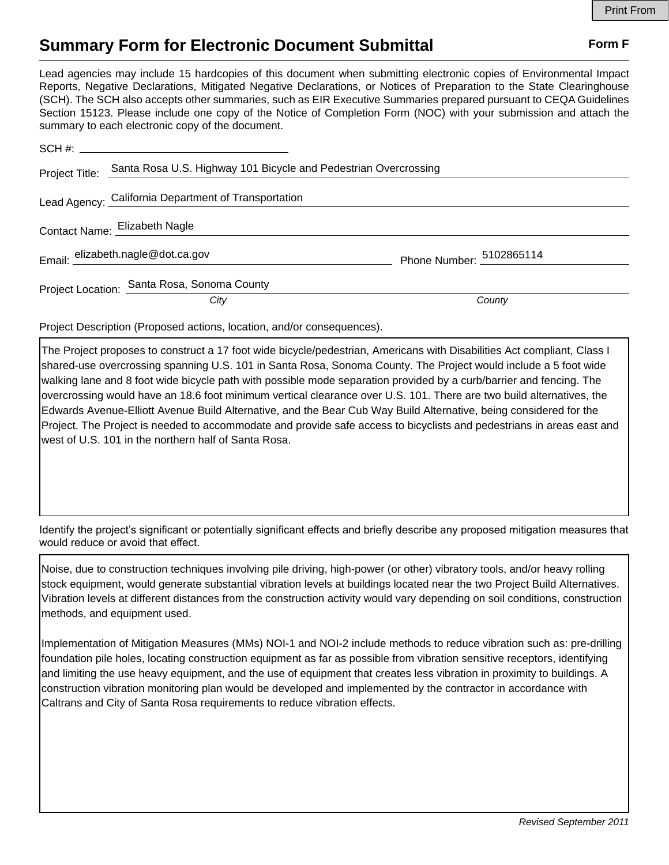## **Summary Form for Electronic Document Submittal Form F Form F**

Lead agencies may include 15 hardcopies of this document when submitting electronic copies of Environmental Impact Reports, Negative Declarations, Mitigated Negative Declarations, or Notices of Preparation to the State Clearinghouse (SCH). The SCH also accepts other summaries, such as EIR Executive Summaries prepared pursuant to CEQA Guidelines Section 15123. Please include one copy of the Notice of Completion Form (NOC) with your submission and attach the summary to each electronic copy of the document.

| Project Title: | Santa Rosa U.S. Highway 101 Bicycle and Pedestrian Overcrossing |                          |
|----------------|-----------------------------------------------------------------|--------------------------|
|                | Lead Agency: California Department of Transportation            |                          |
|                | Contact Name: Elizabeth Nagle                                   |                          |
|                | Email: elizabeth.nagle@dot.ca.gov                               | Phone Number: 5102865114 |
|                | Project Location: Santa Rosa, Sonoma County                     |                          |
|                | City                                                            | County                   |

Project Description (Proposed actions, location, and/or consequences).

The Project proposes to construct a 17 foot wide bicycle/pedestrian, Americans with Disabilities Act compliant, Class I shared-use overcrossing spanning U.S. 101 in Santa Rosa, Sonoma County. The Project would include a 5 foot wide walking lane and 8 foot wide bicycle path with possible mode separation provided by a curb/barrier and fencing. The overcrossing would have an 18.6 foot minimum vertical clearance over U.S. 101. There are two build alternatives, the Edwards Avenue-Elliott Avenue Build Alternative, and the Bear Cub Way Build Alternative, being considered for the Project. The Project is needed to accommodate and provide safe access to bicyclists and pedestrians in areas east and west of U.S. 101 in the northern half of Santa Rosa.

Identify the project's significant or potentially significant effects and briefly describe any proposed mitigation measures that would reduce or avoid that effect.

Noise, due to construction techniques involving pile driving, high-power (or other) vibratory tools, and/or heavy rolling stock equipment, would generate substantial vibration levels at buildings located near the two Project Build Alternatives. Vibration levels at different distances from the construction activity would vary depending on soil conditions, construction methods, and equipment used.

Implementation of Mitigation Measures (MMs) NOI-1 and NOI-2 include methods to reduce vibration such as: pre-drilling foundation pile holes, locating construction equipment as far as possible from vibration sensitive receptors, identifying and limiting the use heavy equipment, and the use of equipment that creates less vibration in proximity to buildings. A construction vibration monitoring plan would be developed and implemented by the contractor in accordance with Caltrans and City of Santa Rosa requirements to reduce vibration effects.